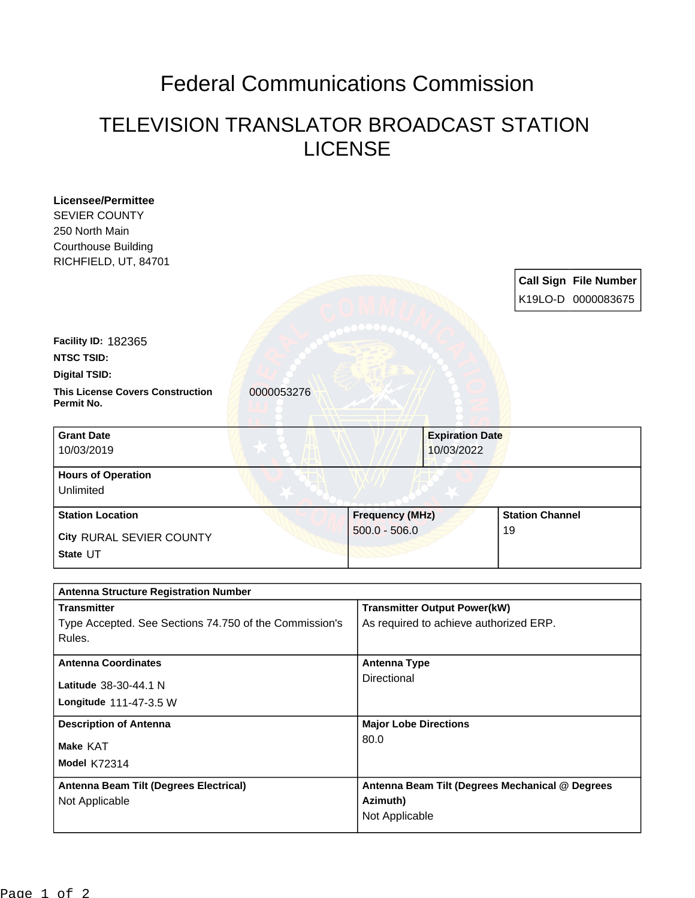## Federal Communications Commission

## TELEVISION TRANSLATOR BROADCAST STATION LICENSE

| <b>Licensee/Permittee</b><br><b>SEVIER COUNTY</b>                |            |                                     |                                                  |    |                              |
|------------------------------------------------------------------|------------|-------------------------------------|--------------------------------------------------|----|------------------------------|
| 250 North Main                                                   |            |                                     |                                                  |    |                              |
| <b>Courthouse Building</b>                                       |            |                                     |                                                  |    |                              |
| RICHFIELD, UT, 84701                                             |            |                                     |                                                  |    |                              |
|                                                                  |            |                                     |                                                  |    | <b>Call Sign File Number</b> |
|                                                                  |            |                                     |                                                  |    | K19LO-D 0000083675           |
|                                                                  |            |                                     |                                                  |    |                              |
| Facility ID: 182365                                              |            |                                     |                                                  |    |                              |
| <b>NTSC TSID:</b>                                                |            |                                     |                                                  |    |                              |
| <b>Digital TSID:</b>                                             |            |                                     |                                                  |    |                              |
| <b>This License Covers Construction</b><br>Permit No.            | 0000053276 |                                     |                                                  |    |                              |
| <b>Grant Date</b>                                                |            |                                     | <b>Expiration Date</b>                           |    |                              |
| 10/03/2019                                                       |            |                                     | 10/03/2022                                       |    |                              |
| <b>Hours of Operation</b>                                        |            |                                     |                                                  |    |                              |
| Unlimited                                                        |            |                                     |                                                  |    |                              |
| <b>Station Location</b>                                          |            |                                     | <b>Station Channel</b><br><b>Frequency (MHz)</b> |    |                              |
| City RURAL SEVIER COUNTY                                         |            | $500.0 - 506.0$                     |                                                  | 19 |                              |
| State UT                                                         |            |                                     |                                                  |    |                              |
|                                                                  |            |                                     |                                                  |    |                              |
| <b>Antenna Structure Registration Number</b>                     |            |                                     |                                                  |    |                              |
| <b>Transmitter</b>                                               |            | <b>Transmitter Output Power(kW)</b> |                                                  |    |                              |
| Type Accepted. See Sections 74.750 of the Commission's<br>Rules. |            |                                     | As required to achieve authorized ERP.           |    |                              |
| <b>Antenna Coordinates</b>                                       |            | <b>Antenna Type</b>                 |                                                  |    |                              |
| Latitude 38-30-44.1 N                                            |            | Directional                         |                                                  |    |                              |
| Longitude 111-47-3.5 W                                           |            |                                     |                                                  |    |                              |
| <b>Description of Antenna</b>                                    |            | <b>Major Lobe Directions</b>        |                                                  |    |                              |
| Make KAT                                                         |            | 80.0                                |                                                  |    |                              |
| <b>Model K72314</b>                                              |            |                                     |                                                  |    |                              |
| Antenna Beam Tilt (Degrees Electrical)                           |            |                                     | Antenna Beam Tilt (Degrees Mechanical @ Degrees  |    |                              |
| Not Applicable                                                   |            | Azimuth)                            |                                                  |    |                              |
|                                                                  |            |                                     |                                                  |    |                              |